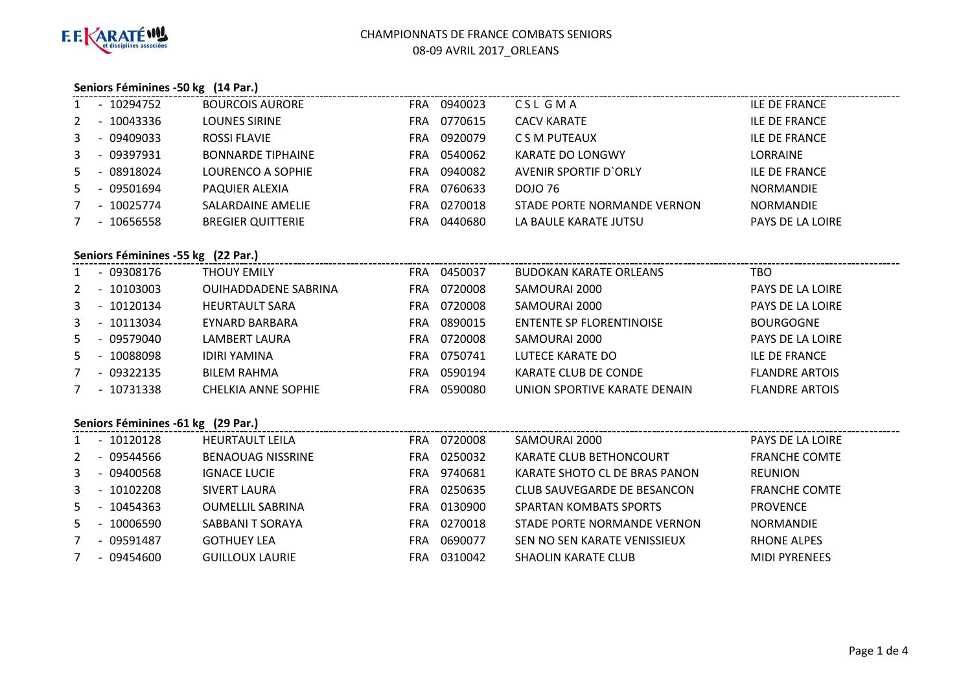

### **Seniors Féminines -50 kg (14 Par.)**

|   |        | - 10294752     | <b>BOURCOIS AURORE</b>   | <b>FRA</b> | 0940023 | CSL GMA                      | ILE DE FRANCE        |
|---|--------|----------------|--------------------------|------------|---------|------------------------------|----------------------|
|   |        | 2 - 10043336   | <b>LOUNES SIRINE</b>     | <b>FRA</b> | 0770615 | <b>CACV KARATE</b>           | <b>ILE DE FRANCE</b> |
|   |        | 3 - 09409033   | <b>ROSSI FLAVIE</b>      | FRA.       | 0920079 | C S M PUTEAUX                | ILE DE FRANCE        |
|   |        | $3 - 09397931$ | <b>BONNARDE TIPHAINE</b> | FRA.       | 0540062 | KARATE DO LONGWY             | <b>LORRAINE</b>      |
| 5 |        | - 08918024     | LOURENCO A SOPHIE        | FRA        | 0940082 | <b>AVENIR SPORTIF D'ORLY</b> | ILE DE FRANCE        |
| 5 |        | - 09501694     | PAQUIER ALEXIA           | FRA        | 0760633 | DOJO 76                      | <b>NORMANDIE</b>     |
|   | $\sim$ | 10025774       | SALARDAINE AMELIE        | FRA        | 0270018 | STADE PORTE NORMANDE VERNON  | <b>NORMANDIE</b>     |
|   |        | - 10656558     | <b>BREGIER QUITTERIE</b> | FRA        | 0440680 | LA BAULE KARATE JUTSU        | PAYS DE LA LOIRE     |
|   |        |                |                          |            |         |                              |                      |

### **Seniors Féminines -55 kg (22 Par.)**

|       |                          | - 09308176   | THOUY EMILY                 | FRA | 0450037 | <b>BUDOKAN KARATE ORLEANS</b>   | тво                   |
|-------|--------------------------|--------------|-----------------------------|-----|---------|---------------------------------|-----------------------|
| $2 -$ |                          | 10103003     | <b>OUIHADDADENE SABRINA</b> | FRA | 0720008 | SAMOURAI 2000                   | PAYS DE LA LOIRE      |
| 3     |                          | - 10120134   | <b>HEURTAULT SARA</b>       | FRA | 0720008 | SAMOURAI 2000                   | PAYS DE LA LOIRE      |
| 3     | $\sim$ $-$               | 10113034     | EYNARD BARBARA              | FRA | 0890015 | <b>ENTENTE SP FLORENTINOISE</b> | <b>BOURGOGNE</b>      |
|       |                          | 5 - 09579040 | LAMBERT LAURA               | FRA | 0720008 | SAMOURAI 2000                   | PAYS DE LA LOIRE      |
| 5     | $\sim$                   | 10088098     | <b>IDIRI YAMINA</b>         | FRA | 0750741 | LUTECE KARATE DO                | <b>ILE DE FRANCE</b>  |
|       |                          | $-09322135$  | <b>BILEM RAHMA</b>          | FRA | 0590194 | KARATE CLUB DE CONDE            | <b>FLANDRE ARTOIS</b> |
|       | $\overline{\phantom{0}}$ | 10731338     | <b>CHELKIA ANNE SOPHIE</b>  | FRA | 0590080 | UNION SPORTIVE KARATE DENAIN    | <b>FLANDRE ARTOIS</b> |
|       |                          |              |                             |     |         |                                 |                       |

# **Seniors Féminines -61 kg (29 Par.)**

|    | $\sim$                   | 10120128   | <b>HEURTAULT LEILA</b>   | FRA | 0720008 | SAMOURAI 2000                 | PAYS DE LA LOIRE     |
|----|--------------------------|------------|--------------------------|-----|---------|-------------------------------|----------------------|
| 2  | $\overline{\phantom{0}}$ | 09544566   | <b>BENAOUAG NISSRINE</b> | FRA | 0250032 | KARATE CLUB BETHONCOURT       | <b>FRANCHE COMTE</b> |
| 3  |                          | - 09400568 | <b>IGNACE LUCIE</b>      | FRA | 9740681 | KARATE SHOTO CL DE BRAS PANON | <b>REUNION</b>       |
| 3  |                          | 10102208   | <b>SIVERT LAURA</b>      | FRA | 0250635 | CLUB SAUVEGARDE DE BESANCON   | <b>FRANCHE COMTE</b> |
| 5  | $\overline{\phantom{0}}$ | 10454363   | <b>OUMELLIL SABRINA</b>  | FRA | 0130900 | SPARTAN KOMBATS SPORTS        | <b>PROVENCE</b>      |
| 5. |                          | 10006590   | SABBANI T SORAYA         | FRA | 0270018 | STADE PORTE NORMANDE VERNON   | <b>NORMANDIE</b>     |
|    | $\overline{\phantom{0}}$ | 09591487   | <b>GOTHUEY LEA</b>       | FRA | 0690077 | SEN NO SEN KARATE VENISSIEUX  | <b>RHONE ALPES</b>   |
|    |                          | - 09454600 | <b>GUILLOUX LAURIE</b>   | FRA | 0310042 | <b>SHAOLIN KARATE CLUB</b>    | <b>MIDI PYRENEES</b> |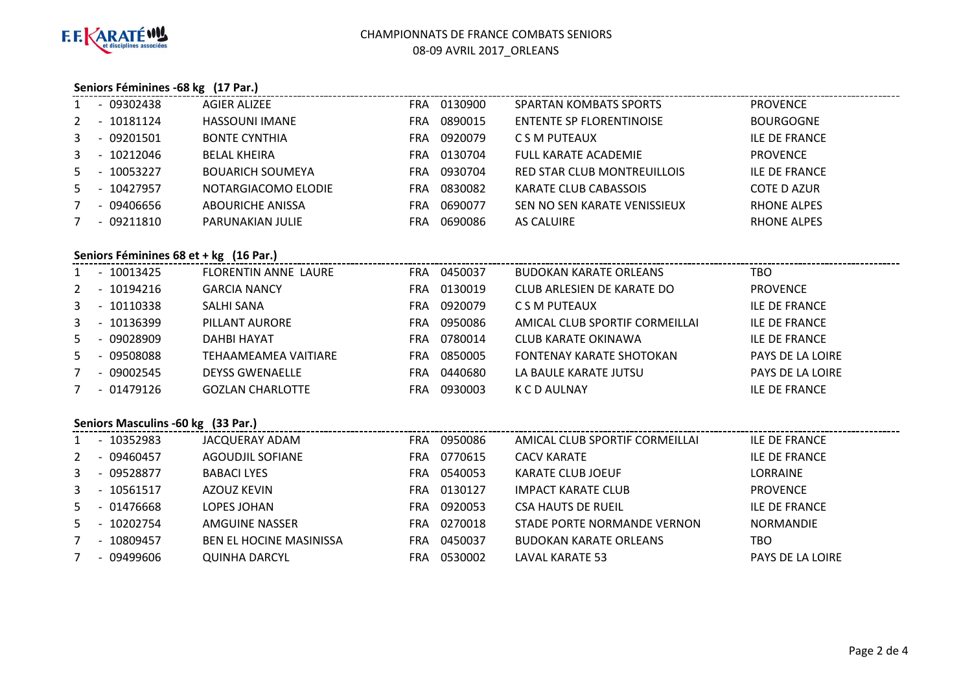

# CHAMPIONNATS DE FRANCE COMBATS SENIORS08-09 AVRIL 2017\_ORLEANS

# **Seniors Féminines -68 kg (17 Par.)**

|   |                          | - 09302438     | AGIER ALIZEE            |     | FRA 0130900 | <b>SPARTAN KOMBATS SPORTS</b>   | <b>PROVENCE</b>      |  |  |
|---|--------------------------|----------------|-------------------------|-----|-------------|---------------------------------|----------------------|--|--|
|   |                          | 2 - 10181124   | <b>HASSOUNI IMANE</b>   | FRA | 0890015     | <b>ENTENTE SP FLORENTINOISE</b> | <b>BOURGOGNE</b>     |  |  |
| 3 |                          | - 09201501     | <b>BONTE CYNTHIA</b>    | FRA | 0920079     | C S M PUTEAUX                   | <b>ILE DE FRANCE</b> |  |  |
|   |                          | $3 - 10212046$ | <b>BELAL KHEIRA</b>     | FRA | 0130704     | <b>FULL KARATE ACADEMIE</b>     | <b>PROVENCE</b>      |  |  |
|   |                          | 5 - 10053227   | <b>BOUARICH SOUMEYA</b> | FRA | 0930704     | RED STAR CLUB MONTREUILLOIS     | <b>ILE DE FRANCE</b> |  |  |
|   |                          | 5 - 10427957   | NOTARGIACOMO ELODIE     | FRA | 0830082     | KARATE CLUB CABASSOIS           | COTE D AZUR          |  |  |
| 7 |                          | - 09406656     | ABOURICHE ANISSA        | FRA | 0690077     | SEN NO SEN KARATE VENISSIEUX    | <b>RHONE ALPES</b>   |  |  |
|   | $\overline{\phantom{0}}$ | 09211810       | PARUNAKIAN JULIE        | FRA | 0690086     | AS CALUIRE                      | <b>RHONE ALPES</b>   |  |  |
|   |                          |                |                         |     |             |                                 |                      |  |  |

# **Seniors Féminines 68 et + kg (16 Par.)**

|    |                          | - 10013425  | FLORENTIN ANNE LAURE    | FRA        | 0450037 | <b>BUDOKAN KARATE ORLEANS</b>   | TBO                  |
|----|--------------------------|-------------|-------------------------|------------|---------|---------------------------------|----------------------|
| 2  |                          | $-10194216$ | <b>GARCIA NANCY</b>     | <b>FRA</b> | 0130019 | CLUB ARLESIEN DE KARATE DO      | <b>PROVENCE</b>      |
| 3  |                          | $-10110338$ | SALHI SANA              | FRA.       | 0920079 | C S M PUTEAUX                   | <b>ILE DE FRANCE</b> |
| 3  |                          | - 10136399  | PILLANT AURORE          | <b>FRA</b> | 0950086 | AMICAL CLUB SPORTIF CORMEILLAI  | <b>ILE DE FRANCE</b> |
| 5. |                          | - 09028909  | DAHBI HAYAT             | <b>FRA</b> | 0780014 | CLUB KARATE OKINAWA             | <b>ILE DE FRANCE</b> |
| 5. |                          | - 09508088  | TEHAAMEAMEA VAITIARE    | <b>FRA</b> | 0850005 | <b>FONTENAY KARATE SHOTOKAN</b> | PAYS DE LA LOIRE     |
|    | $\overline{\phantom{0}}$ | 09002545    | <b>DEYSS GWENAELLE</b>  | <b>FRA</b> | 0440680 | LA BAULE KARATE JUTSU           | PAYS DE LA LOIRE     |
|    |                          | - 01479126  | <b>GOZLAN CHARLOTTE</b> | <b>FRA</b> | 0930003 | K C D AULNAY                    | <b>ILE DE FRANCE</b> |

# **Seniors Masculins -60 kg (33 Par.)**

|   |                          | 10352983   | JACQUERAY ADAM                 | FRA  | 0950086 | AMICAL CLUB SPORTIF CORMEILLAI | ILE DE FRANCE        |
|---|--------------------------|------------|--------------------------------|------|---------|--------------------------------|----------------------|
| 2 |                          | 09460457   | AGOUDJIL SOFIANE               | FRA  | 0770615 | <b>CACV KARATE</b>             | ILE DE FRANCE        |
| 3 | $\overline{\phantom{0}}$ | 09528877   | BABACI LYES                    | FRA  | 0540053 | KARATE CLUB JOEUF              | <b>LORRAINE</b>      |
| 3 |                          | 10561517   | AZOUZ KEVIN                    | FRA  | 0130127 | <b>IMPACT KARATE CLUB</b>      | <b>PROVENCE</b>      |
| 5 |                          | - 01476668 | LOPES JOHAN                    | FRA  | 0920053 | <b>CSA HAUTS DE RUEIL</b>      | <b>ILE DE FRANCE</b> |
| 5 |                          | 10202754   | AMGUINE NASSER                 | FRA  | 0270018 | STADE PORTE NORMANDE VERNON    | <b>NORMANDIE</b>     |
|   |                          | 10809457   | <b>BEN EL HOCINE MASINISSA</b> | FRA. | 0450037 | <b>BUDOKAN KARATE ORLEANS</b>  | TBO                  |
|   |                          | - 09499606 | <b>QUINHA DARCYL</b>           | FRA  | 0530002 | <b>LAVAL KARATE 53</b>         | PAYS DE LA LOIRE     |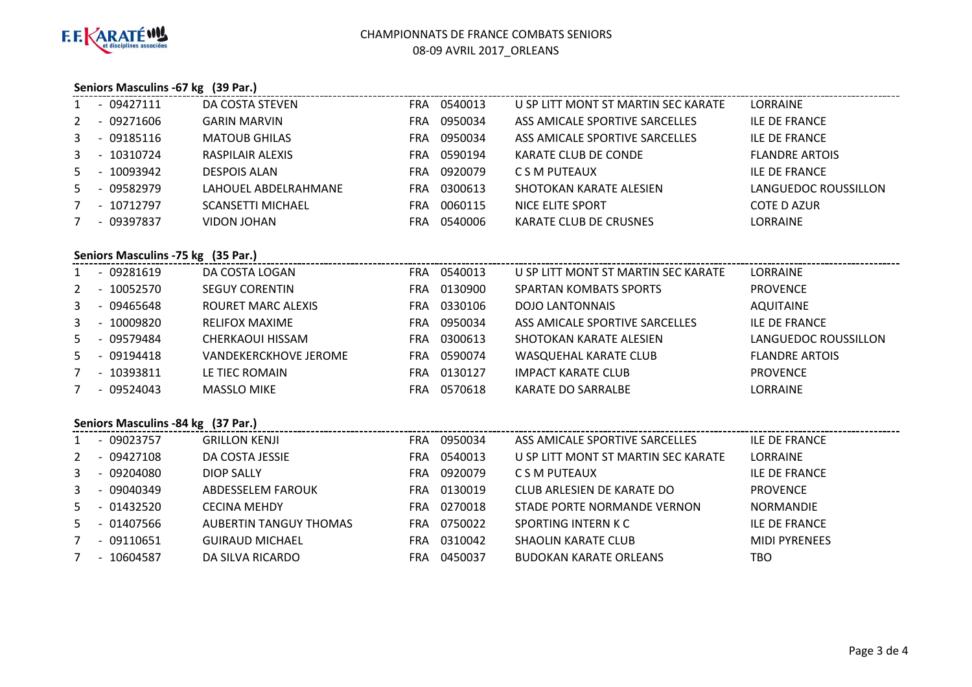

### **Seniors Masculins -67 kg (39 Par.)**

|       |                | $-09427111$ | DA COSTA STEVEN          | FRA.       | 0540013 | U SP LITT MONT ST MARTIN SEC KARATE | LORRAINE              |
|-------|----------------|-------------|--------------------------|------------|---------|-------------------------------------|-----------------------|
| 2     | $\overline{a}$ | 09271606    | <b>GARIN MARVIN</b>      | FRA        | 0950034 | ASS AMICALE SPORTIVE SARCELLES      | ILE DE FRANCE         |
| 3     |                | - 09185116  | <b>MATOUB GHILAS</b>     | <b>FRA</b> | 0950034 | ASS AMICALE SPORTIVE SARCELLES      | <b>ILE DE FRANCE</b>  |
| 3     | $\overline{a}$ | 10310724    | RASPILAIR ALEXIS         | FRA        | 0590194 | KARATE CLUB DE CONDE                | <b>FLANDRE ARTOIS</b> |
| $5 -$ |                | 10093942    | <b>DESPOIS ALAN</b>      | <b>FRA</b> | 0920079 | C S M PUTEAUX                       | <b>ILE DE FRANCE</b>  |
| .5.   | $\sim$         | 09582979    | LAHOUEL ABDELRAHMANE     | FRA.       | 0300613 | SHOTOKAN KARATE ALESIEN             | LANGUEDOC ROUSSILLON  |
|       |                | - 10712797  | <b>SCANSETTI MICHAEL</b> | <b>FRA</b> | 0060115 | NICE ELITE SPORT                    | COTE D AZUR           |
|       |                | - 09397837  | VIDON JOHAN              | FRA.       | 0540006 | KARATE CLUB DE CRUSNES              | <b>LORRAINE</b>       |

### **Seniors Masculins -75 kg (35 Par.)**

|   |                          | $-09281619$  | DA COSTA LOGAN        | FRA | 0540013 | U SP LITT MONT ST MARTIN SEC KARATE | LORRAINE              |
|---|--------------------------|--------------|-----------------------|-----|---------|-------------------------------------|-----------------------|
| 2 | $\overline{\phantom{a}}$ | 10052570     | <b>SEGUY CORENTIN</b> | FRA | 0130900 | SPARTAN KOMBATS SPORTS              | <b>PROVENCE</b>       |
| 3 |                          | - 09465648   | ROURET MARC ALEXIS    | FRA | 0330106 | <b>DOJO LANTONNAIS</b>              | <b>AQUITAINE</b>      |
| 3 | $\sim$                   | 10009820     | <b>RELIFOX MAXIME</b> | FRA | 0950034 | ASS AMICALE SPORTIVE SARCELLES      | <b>ILE DE FRANCE</b>  |
|   |                          | 5 - 09579484 | CHERKAOUI HISSAM      | FRA | 0300613 | SHOTOKAN KARATE ALESIEN             | LANGUEDOC ROUSSILLON  |
|   |                          | 5 - 09194418 | VANDEKERCKHOVE JEROME | FRA | 0590074 | WASQUEHAL KARATE CLUB               | <b>FLANDRE ARTOIS</b> |
|   | $\overline{\phantom{0}}$ | 10393811     | LE TIEC ROMAIN        | FRA | 0130127 | <b>IMPACT KARATE CLUB</b>           | <b>PROVENCE</b>       |
|   |                          | $-09524043$  | <b>MASSLO MIKE</b>    | FRA | 0570618 | KARATE DO SARRALBE                  | LORRAINE              |

# **Seniors Masculins -84 kg (37 Par.)**

|    | $\overline{\phantom{0}}$ | 09023757    | <b>GRILLON KENJI</b>          | FRA. | 0950034 | ASS AMICALE SPORTIVE SARCELLES      | <b>ILE DE FRANCE</b> |
|----|--------------------------|-------------|-------------------------------|------|---------|-------------------------------------|----------------------|
| 2  | $\overline{\phantom{a}}$ | 09427108    | DA COSTA JESSIE               | FRA  | 0540013 | U SP LITT MONT ST MARTIN SEC KARATE | <b>LORRAINE</b>      |
| 3  |                          | - 09204080  | DIOP SALLY                    | FRA  | 0920079 | C S M PUTEAUX                       | <b>ILE DE FRANCE</b> |
| 3  | $\overline{\phantom{0}}$ | 09040349    | ABDESSELEM FAROUK             | FRA  | 0130019 | CLUB ARLESIEN DE KARATE DO          | <b>PROVENCE</b>      |
| 5  |                          | - 01432520  | <b>CECINA MEHDY</b>           | FRA  | 0270018 | STADE PORTE NORMANDE VERNON         | NORMANDIE            |
| 5. |                          | - 01407566  | <b>AUBERTIN TANGUY THOMAS</b> | FRA  | 0750022 | SPORTING INTERN K C                 | ILE DE FRANCE        |
|    |                          | $-09110651$ | <b>GUIRAUD MICHAEL</b>        | FRA  | 0310042 | SHAOLIN KARATE CLUB                 | <b>MIDI PYRENEES</b> |
|    |                          | $-10604587$ | DA SILVA RICARDO              | FRA  | 0450037 | <b>BUDOKAN KARATE ORLEANS</b>       | TBO                  |